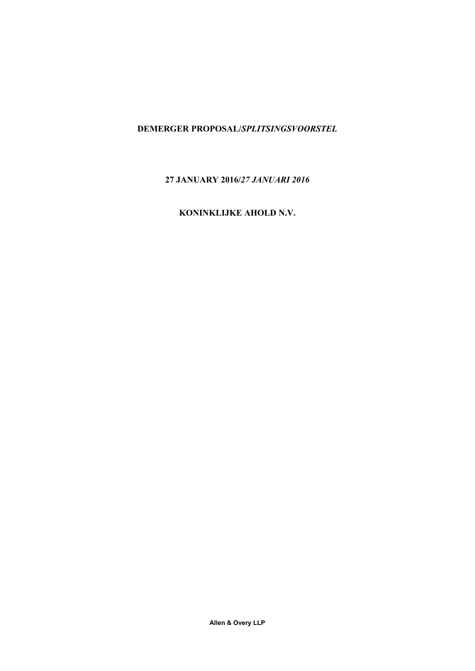# **DEMERGER PROPOSAL/***SPLITSINGSVOORSTEL*

**27 JANUARY 2016/***27 JANUARI 2016*

**KONINKLIJKE AHOLD N.V.**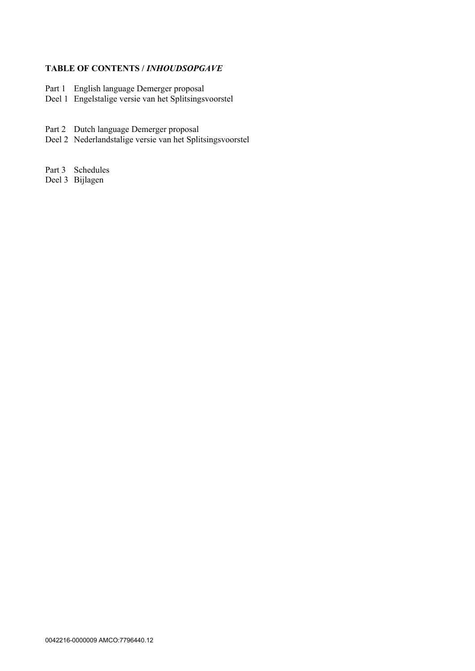# **TABLE OF CONTENTS /** *INHOUDSOPGAVE*

- Part 1 English language Demerger proposal
- Deel 1 Engelstalige versie van het Splitsingsvoorstel
- Part 2 Dutch language Demerger proposal
- Deel 2 Nederlandstalige versie van het Splitsingsvoorstel
- Part 3 Schedules
- Deel 3 Bijlagen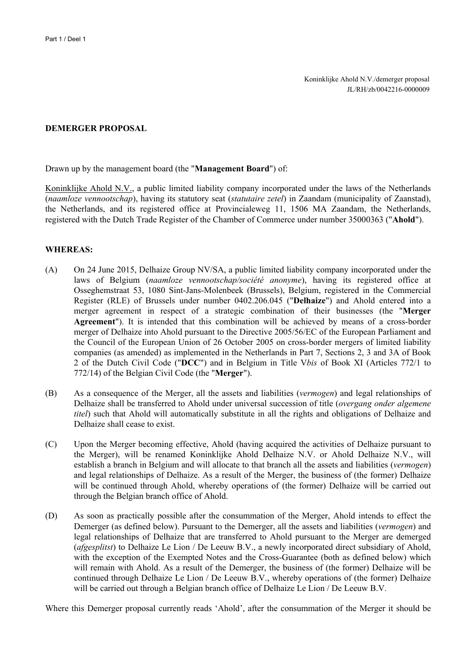## **DEMERGER PROPOSAL**

Drawn up by the management board (the "**Management Board**") of:

Koninklijke Ahold N.V., a public limited liability company incorporated under the laws of the Netherlands (*naamloze vennootschap*), having its statutory seat (*statutaire zetel*) in Zaandam (municipality of Zaanstad), the Netherlands, and its registered office at Provincialeweg 11, 1506 MA Zaandam, the Netherlands, registered with the Dutch Trade Register of the Chamber of Commerce under number 35000363 ("**Ahold**").

#### **WHEREAS:**

- (A) On 24 June 2015, Delhaize Group NV/SA, a public limited liability company incorporated under the laws of Belgium (*naamloze vennootschap/société anonyme*), having its registered office at Osseghemstraat 53, 1080 Sint-Jans-Molenbeek (Brussels), Belgium, registered in the Commercial Register (RLE) of Brussels under number 0402.206.045 ("**Delhaize**") and Ahold entered into a merger agreement in respect of a strategic combination of their businesses (the "**Merger Agreement**"). It is intended that this combination will be achieved by means of a cross-border merger of Delhaize into Ahold pursuant to the Directive 2005/56/EC of the European Parliament and the Council of the European Union of 26 October 2005 on cross-border mergers of limited liability companies (as amended) as implemented in the Netherlands in Part 7, Sections 2, 3 and 3A of Book 2 of the Dutch Civil Code ("**DCC**") and in Belgium in Title V*bis* of Book XI (Articles 772/1 to 772/14) of the Belgian Civil Code (the "**Merger**").
- (B) As a consequence of the Merger, all the assets and liabilities (*vermogen*) and legal relationships of Delhaize shall be transferred to Ahold under universal succession of title (*overgang onder algemene titel*) such that Ahold will automatically substitute in all the rights and obligations of Delhaize and Delhaize shall cease to exist.
- (C) Upon the Merger becoming effective, Ahold (having acquired the activities of Delhaize pursuant to the Merger), will be renamed Koninklijke Ahold Delhaize N.V. or Ahold Delhaize N.V., will establish a branch in Belgium and will allocate to that branch all the assets and liabilities (*vermogen*) and legal relationships of Delhaize. As a result of the Merger, the business of (the former) Delhaize will be continued through Ahold, whereby operations of (the former) Delhaize will be carried out through the Belgian branch office of Ahold.
- (D) As soon as practically possible after the consummation of the Merger, Ahold intends to effect the Demerger (as defined below). Pursuant to the Demerger, all the assets and liabilities (*vermogen*) and legal relationships of Delhaize that are transferred to Ahold pursuant to the Merger are demerged (*afgesplitst*) to Delhaize Le Lion / De Leeuw B.V., a newly incorporated direct subsidiary of Ahold, with the exception of the Exempted Notes and the Cross-Guarantee (both as defined below) which will remain with Ahold. As a result of the Demerger, the business of (the former) Delhaize will be continued through Delhaize Le Lion / De Leeuw B.V., whereby operations of (the former) Delhaize will be carried out through a Belgian branch office of Delhaize Le Lion / De Leeuw B.V.

Where this Demerger proposal currently reads 'Ahold', after the consummation of the Merger it should be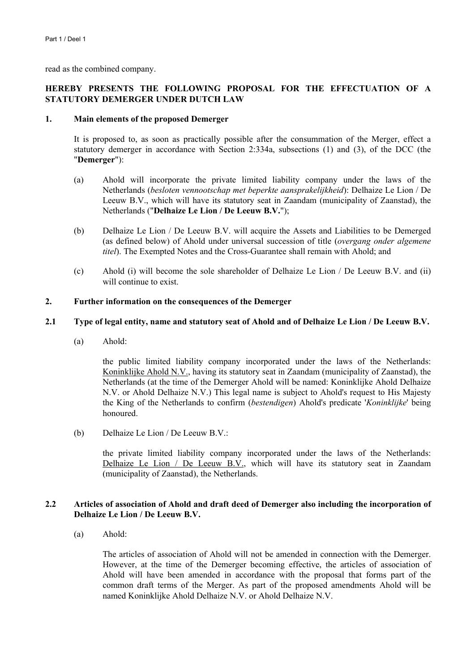read as the combined company.

# **HEREBY PRESENTS THE FOLLOWING PROPOSAL FOR THE EFFECTUATION OF A STATUTORY DEMERGER UNDER DUTCH LAW**

### **1. Main elements of the proposed Demerger**

It is proposed to, as soon as practically possible after the consummation of the Merger, effect a statutory demerger in accordance with Section 2:334a, subsections (1) and (3), of the DCC (the "**Demerger**"):

- (a) Ahold will incorporate the private limited liability company under the laws of the Netherlands (*besloten vennootschap met beperkte aansprakelijkheid*): Delhaize Le Lion / De Leeuw B.V., which will have its statutory seat in Zaandam (municipality of Zaanstad), the Netherlands ("**Delhaize Le Lion / De Leeuw B.V.**");
- (b) Delhaize Le Lion / De Leeuw B.V. will acquire the Assets and Liabilities to be Demerged (as defined below) of Ahold under universal succession of title (*overgang onder algemene titel*). The Exempted Notes and the Cross-Guarantee shall remain with Ahold; and
- (c) Ahold (i) will become the sole shareholder of Delhaize Le Lion / De Leeuw B.V. and (ii) will continue to exist.

## **2. Further information on the consequences of the Demerger**

## 2.1 Type of legal entity, name and statutory seat of Ahold and of Delhaize Le Lion / De Leeuw B.V.

(a) Ahold:

the public limited liability company incorporated under the laws of the Netherlands: Koninklijke Ahold N.V., having its statutory seat in Zaandam (municipality of Zaanstad), the Netherlands (at the time of the Demerger Ahold will be named: Koninklijke Ahold Delhaize N.V. or Ahold Delhaize N.V.) This legal name is subject to Ahold's request to His Majesty the King of the Netherlands to confirm (*bestendigen*) Ahold's predicate '*Koninklijke*' being honoured.

(b) Delhaize Le Lion / De Leeuw B.V.:

the private limited liability company incorporated under the laws of the Netherlands: Delhaize Le Lion / De Leeuw B.V., which will have its statutory seat in Zaandam (municipality of Zaanstad), the Netherlands.

# **2.2 Articles of association of Ahold and draft deed of Demerger also including the incorporation of Delhaize Le Lion / De Leeuw B.V.**

(a) Ahold:

The articles of association of Ahold will not be amended in connection with the Demerger. However, at the time of the Demerger becoming effective, the articles of association of Ahold will have been amended in accordance with the proposal that forms part of the common draft terms of the Merger. As part of the proposed amendments Ahold will be named Koninklijke Ahold Delhaize N.V. or Ahold Delhaize N.V.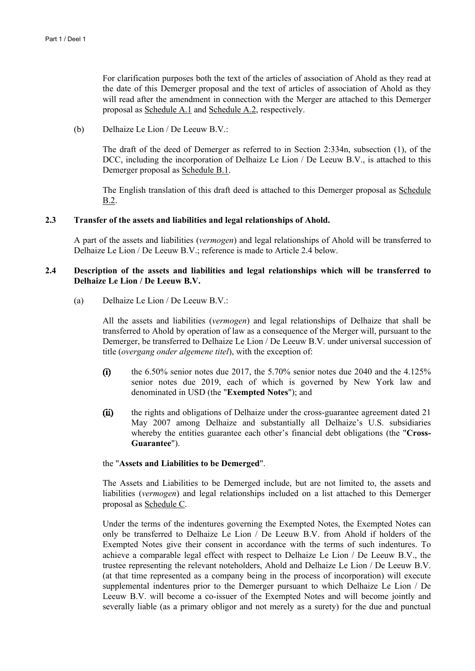For clarification purposes both the text of the articles of association of Ahold as they read at the date of this Demerger proposal and the text of articles of association of Ahold as they will read after the amendment in connection with the Merger are attached to this Demerger proposal as Schedule A.1 and Schedule A.2, respectively.

(b) Delhaize Le Lion / De Leeuw B.V.:

The draft of the deed of Demerger as referred to in Section 2:334n, subsection (1), of the DCC, including the incorporation of Delhaize Le Lion / De Leeuw B.V., is attached to this Demerger proposal as Schedule B.1.

The English translation of this draft deed is attached to this Demerger proposal as Schedule B.2.

#### **2.3 Transfer of the assets and liabilities and legal relationships of Ahold.**

A part of the assets and liabilities (*vermogen*) and legal relationships of Ahold will be transferred to Delhaize Le Lion / De Leeuw B.V.; reference is made to Article [2.4](#page-4-0) below.

### <span id="page-4-0"></span>**2.4 Description of the assets and liabilities and legal relationships which will be transferred to Delhaize Le Lion / De Leeuw B.V.**

(a) Delhaize Le Lion / De Leeuw B.V.:

All the assets and liabilities (*vermogen*) and legal relationships of Delhaize that shall be transferred to Ahold by operation of law as a consequence of the Merger will, pursuant to the Demerger, be transferred to Delhaize Le Lion / De Leeuw B.V. under universal succession of title (*overgang onder algemene titel*), with the exception of:

- (i) the  $6.50\%$  senior notes due 2017, the  $5.70\%$  senior notes due 2040 and the  $4.125\%$ senior notes due 2019, each of which is governed by New York law and denominated in USD (the "**Exempted Notes**"); and
- (ii) the rights and obligations of Delhaize under the cross-guarantee agreement dated 21 May 2007 among Delhaize and substantially all Delhaize's U.S. subsidiaries whereby the entities guarantee each other's financial debt obligations (the "**Cross-Guarantee**").

#### the "**Assets and Liabilities to be Demerged**".

The Assets and Liabilities to be Demerged include, but are not limited to, the assets and liabilities (*vermogen*) and legal relationships included on a list attached to this Demerger proposal as Schedule C.

Under the terms of the indentures governing the Exempted Notes, the Exempted Notes can only be transferred to Delhaize Le Lion / De Leeuw B.V. from Ahold if holders of the Exempted Notes give their consent in accordance with the terms of such indentures. To achieve a comparable legal effect with respect to Delhaize Le Lion / De Leeuw B.V., the trustee representing the relevant noteholders, Ahold and Delhaize Le Lion / De Leeuw B.V. (at that time represented as a company being in the process of incorporation) will execute supplemental indentures prior to the Demerger pursuant to which Delhaize Le Lion / De Leeuw B.V. will become a co-issuer of the Exempted Notes and will become jointly and severally liable (as a primary obligor and not merely as a surety) for the due and punctual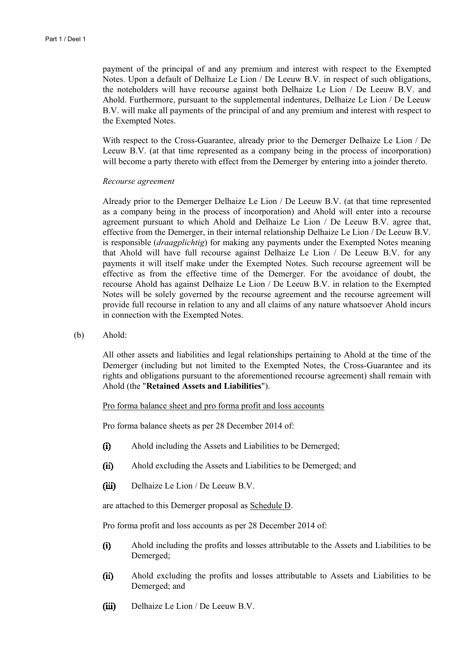payment of the principal of and any premium and interest with respect to the Exempted Notes. Upon a default of Delhaize Le Lion / De Leeuw B.V. in respect of such obligations, the noteholders will have recourse against both Delhaize Le Lion / De Leeuw B.V. and Ahold. Furthermore, pursuant to the supplemental indentures, Delhaize Le Lion / De Leeuw B.V. will make all payments of the principal of and any premium and interest with respect to the Exempted Notes.

With respect to the Cross-Guarantee, already prior to the Demerger Delhaize Le Lion / De Leeuw B.V. (at that time represented as a company being in the process of incorporation) will become a party thereto with effect from the Demerger by entering into a joinder thereto.

#### *Recourse agreement*

Already prior to the Demerger Delhaize Le Lion / De Leeuw B.V. (at that time represented as a company being in the process of incorporation) and Ahold will enter into a recourse agreement pursuant to which Ahold and Delhaize Le Lion / De Leeuw B.V. agree that, effective from the Demerger, in their internal relationship Delhaize Le Lion / De Leeuw B.V. is responsible (*draagplichtig*) for making any payments under the Exempted Notes meaning that Ahold will have full recourse against Delhaize Le Lion / De Leeuw B.V. for any payments it will itself make under the Exempted Notes. Such recourse agreement will be effective as from the effective time of the Demerger. For the avoidance of doubt, the recourse Ahold has against Delhaize Le Lion / De Leeuw B.V. in relation to the Exempted Notes will be solely governed by the recourse agreement and the recourse agreement will provide full recourse in relation to any and all claims of any nature whatsoever Ahold incurs in connection with the Exempted Notes.

(b) Ahold:

All other assets and liabilities and legal relationships pertaining to Ahold at the time of the Demerger (including but not limited to the Exempted Notes, the Cross-Guarantee and its rights and obligations pursuant to the aforementioned recourse agreement) shall remain with Ahold (the "**Retained Assets and Liabilities**").

#### Pro forma balance sheet and pro forma profit and loss accounts

Pro forma balance sheets as per 28 December 2014 of:

- (i) Ahold including the Assets and Liabilities to be Demerged;
- (ii) Ahold excluding the Assets and Liabilities to be Demerged; and
- (iii) Delhaize Le Lion / De Leeuw B.V.

are attached to this Demerger proposal as Schedule D.

Pro forma profit and loss accounts as per 28 December 2014 of:

- (i) Ahold including the profits and losses attributable to the Assets and Liabilities to be Demerged;
- (ii) Ahold excluding the profits and losses attributable to Assets and Liabilities to be Demerged; and
- (iii) Delhaize Le Lion / De Leeuw B.V.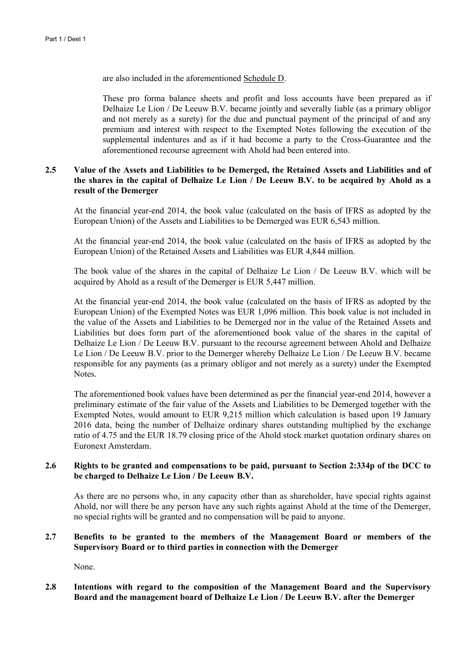are also included in the aforementioned Schedule D.

These pro forma balance sheets and profit and loss accounts have been prepared as if Delhaize Le Lion / De Leeuw B.V. became jointly and severally liable (as a primary obligor and not merely as a surety) for the due and punctual payment of the principal of and any premium and interest with respect to the Exempted Notes following the execution of the supplemental indentures and as if it had become a party to the Cross-Guarantee and the aforementioned recourse agreement with Ahold had been entered into.

# **2.5 Value of the Assets and Liabilities to be Demerged, the Retained Assets and Liabilities and of** the shares in the capital of Delhaize Le Lion / De Leeuw B.V. to be acquired by Ahold as a **result of the Demerger**

At the financial year-end 2014, the book value (calculated on the basis of IFRS as adopted by the European Union) of the Assets and Liabilities to be Demerged was EUR 6,543 million.

At the financial year-end 2014, the book value (calculated on the basis of IFRS as adopted by the European Union) of the Retained Assets and Liabilities was EUR 4,844 million.

The book value of the shares in the capital of Delhaize Le Lion / De Leeuw B.V. which will be acquired by Ahold as a result of the Demerger is EUR 5,447 million.

At the financial year-end 2014, the book value (calculated on the basis of IFRS as adopted by the European Union) of the Exempted Notes was EUR 1,096 million. This book value is not included in the value of the Assets and Liabilities to be Demerged nor in the value of the Retained Assets and Liabilities but does form part of the aforementioned book value of the shares in the capital of Delhaize Le Lion / De Leeuw B.V. pursuant to the recourse agreement between Ahold and Delhaize Le Lion / De Leeuw B.V. prior to the Demerger whereby Delhaize Le Lion / De Leeuw B.V. became responsible for any payments (as a primary obligor and not merely as a surety) under the Exempted **Notes**.

The aforementioned book values have been determined as per the financial year-end 2014, however a preliminary estimate of the fair value of the Assets and Liabilities to be Demerged together with the Exempted Notes, would amount to EUR 9,215 million which calculation is based upon 19 January 2016 data, being the number of Delhaize ordinary shares outstanding multiplied by the exchange ratio of 4.75 and the EUR 18.79 closing price of the Ahold stock market quotation ordinary shares on Euronext Amsterdam.

# **2.6 Rights to be granted and compensations to be paid, pursuant to Section 2:334p of the DCC to be charged to Delhaize Le Lion / De Leeuw B.V.**

As there are no persons who, in any capacity other than as shareholder, have special rights against Ahold, nor will there be any person have any such rights against Ahold at the time of the Demerger, no special rights will be granted and no compensation will be paid to anyone.

# **2.7 Benefits to be granted to the members of the Management Board or members of the Supervisory Board or to third parties in connection with the Demerger**

None.

**2.8 Intentions with regard to the composition of the Management Board and the Supervisory Board and the management board of Delhaize Le Lion / De Leeuw B.V. after the Demerger**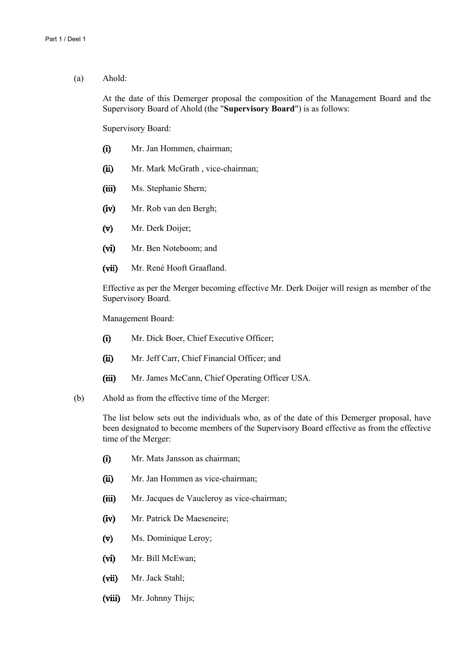(a) Ahold:

At the date of this Demerger proposal the composition of the Management Board and the Supervisory Board of Ahold (the "**Supervisory Board**") is as follows:

Supervisory Board:

- (i) Mr. Jan Hommen, chairman;
- (ii) Mr. Mark McGrath, vice-chairman;
- (iii) Ms. Stephanie Shern;
- (iv) Mr. Rob van den Bergh;
- (v) Mr. Derk Doijer;
- (vi) Mr. Ben Noteboom; and
- (vii) Mr. René Hooft Graafland.

Effective as per the Merger becoming effective Mr. Derk Doijer will resign as member of the Supervisory Board.

Management Board:

- (i) Mr. Dick Boer, Chief Executive Officer;
- (ii) Mr. Jeff Carr, Chief Financial Officer; and
- (iii) Mr. James McCann, Chief Operating Officer USA.
- (b) Ahold as from the effective time of the Merger:

The list below sets out the individuals who, as of the date of this Demerger proposal, have been designated to become members of the Supervisory Board effective as from the effective time of the Merger:

- (i) Mr. Mats Jansson as chairman;
- (ii) Mr. Jan Hommen as vice-chairman;
- (iii) Mr. Jacques de Vaucleroy as vice-chairman;
- (iv) Mr. Patrick De Maeseneire;
- (v) Ms. Dominique Leroy;
- (vi) Mr. Bill McEwan;
- (vii) Mr. Jack Stahl;
- (viii) Mr. Johnny Thijs;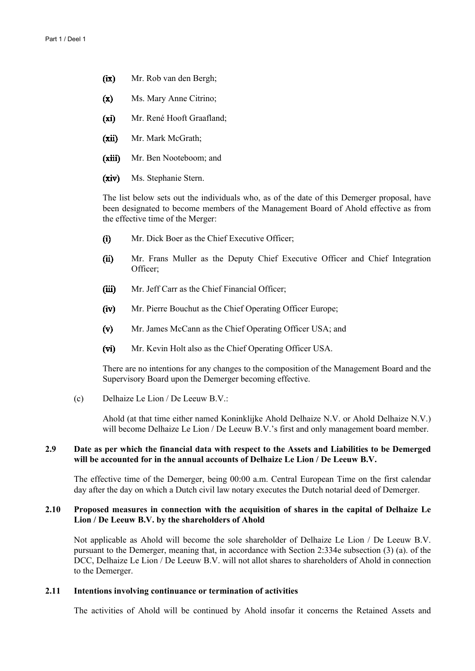- (ix) Mr. Rob van den Bergh;
- (x) Ms. Mary Anne Citrino;
- (xi) Mr. René Hooft Graafland;
- (xii) Mr. Mark McGrath;
- (xiii) Mr. Ben Nooteboom; and
- (xiv) Ms. Stephanie Stern.

The list below sets out the individuals who, as of the date of this Demerger proposal, have been designated to become members of the Management Board of Ahold effective as from the effective time of the Merger:

- (i) Mr. Dick Boer as the Chief Executive Officer;
- (ii) Mr. Frans Muller as the Deputy Chief Executive Officer and Chief Integration Officer;
- (iii) Mr. Jeff Carr as the Chief Financial Officer;
- (iv) Mr. Pierre Bouchut as the Chief Operating Officer Europe;
- (v) Mr. James McCann as the Chief Operating Officer USA; and
- (vi) Mr. Kevin Holt also as the Chief Operating Officer USA.

There are no intentions for any changes to the composition of the Management Board and the Supervisory Board upon the Demerger becoming effective.

(c) Delhaize Le Lion / De Leeuw B.V.:

Ahold (at that time either named Koninklijke Ahold Delhaize N.V. or Ahold Delhaize N.V.) will become Delhaize Le Lion / De Leeuw B.V.'s first and only management board member.

# **2.9 Date as per which the financial data with respect to the Assets and Liabilities to be Demerged will be accounted for in the annual accounts of Delhaize Le Lion / De Leeuw B.V.**

The effective time of the Demerger, being 00:00 a.m. Central European Time on the first calendar day after the day on which a Dutch civil law notary executes the Dutch notarial deed of Demerger.

#### **2.10 Proposed measures in connection with the acquisition of shares in the capital of Delhaize Le Lion / De Leeuw B.V. by the shareholders of Ahold**

Not applicable as Ahold will become the sole shareholder of Delhaize Le Lion / De Leeuw B.V. pursuant to the Demerger, meaning that, in accordance with Section 2:334e subsection (3) (a). of the DCC, Delhaize Le Lion / De Leeuw B.V. will not allot shares to shareholders of Ahold in connection to the Demerger.

## **2.11 Intentions involving continuance or termination of activities**

The activities of Ahold will be continued by Ahold insofar it concerns the Retained Assets and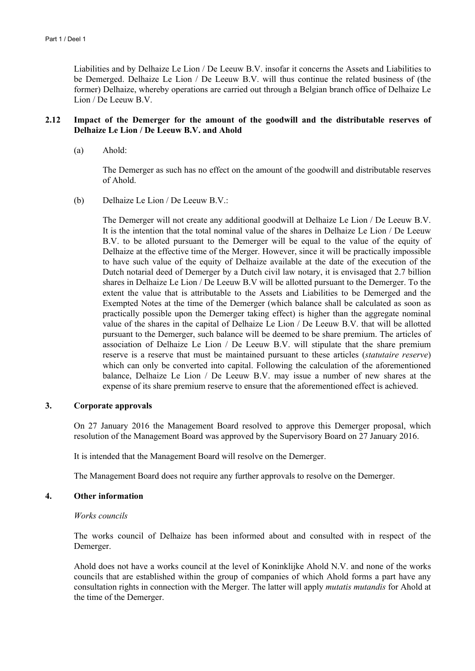Liabilities and by Delhaize Le Lion / De Leeuw B.V. insofar it concerns the Assets and Liabilities to be Demerged. Delhaize Le Lion / De Leeuw B.V. will thus continue the related business of (the former) Delhaize, whereby operations are carried out through a Belgian branch office of Delhaize Le Lion / De Leeuw B.V.

# **2.12 Impact of the Demerger for the amount of the goodwill and the distributable reserves of Delhaize Le Lion / De Leeuw B.V. and Ahold**

(a) Ahold:

The Demerger as such has no effect on the amount of the goodwill and distributable reserves of Ahold.

(b) Delhaize Le Lion / De Leeuw B.V.:

The Demerger will not create any additional goodwill at Delhaize Le Lion / De Leeuw B.V. It is the intention that the total nominal value of the shares in Delhaize Le Lion / De Leeuw B.V. to be alloted pursuant to the Demerger will be equal to the value of the equity of Delhaize at the effective time of the Merger. However, since it will be practically impossible to have such value of the equity of Delhaize available at the date of the execution of the Dutch notarial deed of Demerger by a Dutch civil law notary, it is envisaged that 2.7 billion shares in Delhaize Le Lion / De Leeuw B.V will be allotted pursuant to the Demerger. To the extent the value that is attributable to the Assets and Liabilities to be Demerged and the Exempted Notes at the time of the Demerger (which balance shall be calculated as soon as practically possible upon the Demerger taking effect) is higher than the aggregate nominal value of the shares in the capital of Delhaize Le Lion / De Leeuw B.V. that will be allotted pursuant to the Demerger, such balance will be deemed to be share premium. The articles of association of Delhaize Le Lion / De Leeuw B.V. will stipulate that the share premium reserve is a reserve that must be maintained pursuant to these articles (*statutaire reserve*) which can only be converted into capital. Following the calculation of the aforementioned balance, Delhaize Le Lion / De Leeuw B.V. may issue a number of new shares at the expense of its share premium reserve to ensure that the aforementioned effect is achieved.

### **3. Corporate approvals**

On 27 January 2016 the Management Board resolved to approve this Demerger proposal, which resolution of the Management Board was approved by the Supervisory Board on 27 January 2016.

It is intended that the Management Board will resolve on the Demerger.

The Management Board does not require any further approvals to resolve on the Demerger.

#### **4. Other information**

#### *Works councils*

The works council of Delhaize has been informed about and consulted with in respect of the Demerger.

Ahold does not have a works council at the level of Koninklijke Ahold N.V. and none of the works councils that are established within the group of companies of which Ahold forms a part have any consultation rights in connection with the Merger. The latter will apply *mutatis mutandis* for Ahold at the time of the Demerger.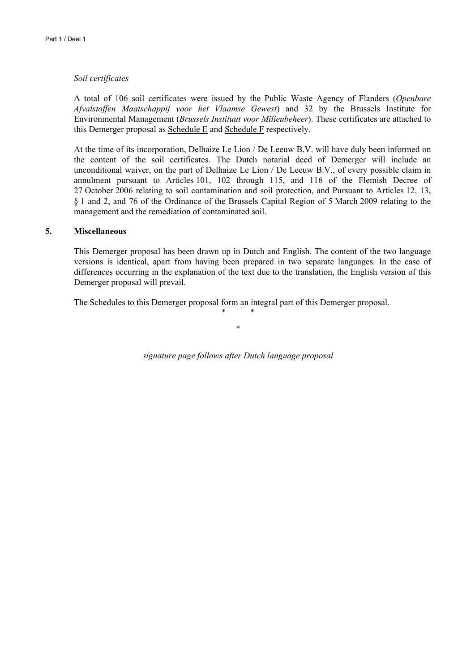#### *Soil certificates*

A total of 106 soil certificates were issued by the Public Waste Agency of Flanders (*Openbare Afvalstoffen Maatschappij voor het Vlaamse Gewest*) and 32 by the Brussels Institute for Environmental Management (*Brussels Instituut voor Milieubeheer*). These certificates are attached to this Demerger proposal as Schedule E and Schedule F respectively.

At the time of its incorporation, Delhaize Le Lion / De Leeuw B.V. will have duly been informed on the content of the soil certificates. The Dutch notarial deed of Demerger will include an unconditional waiver, on the part of Delhaize Le Lion / De Leeuw B.V., of every possible claim in annulment pursuant to Articles 101, 102 through 115, and 116 of the Flemish Decree of 27 October 2006 relating to soil contamination and soil protection, and Pursuant to Articles 12, 13, § 1 and 2, and 76 of the Ordinance of the Brussels Capital Region of 5 March 2009 relating to the management and the remediation of contaminated soil.

#### **5. Miscellaneous**

This Demerger proposal has been drawn up in Dutch and English. The content of the two language versions is identical, apart from having been prepared in two separate languages. In the case of differences occurring in the explanation of the text due to the translation, the English version of this Demerger proposal will prevail.

The Schedules to this Demerger proposal form an integral part of this Demerger proposal. \* \*

*signature page follows after Dutch language proposal*

\*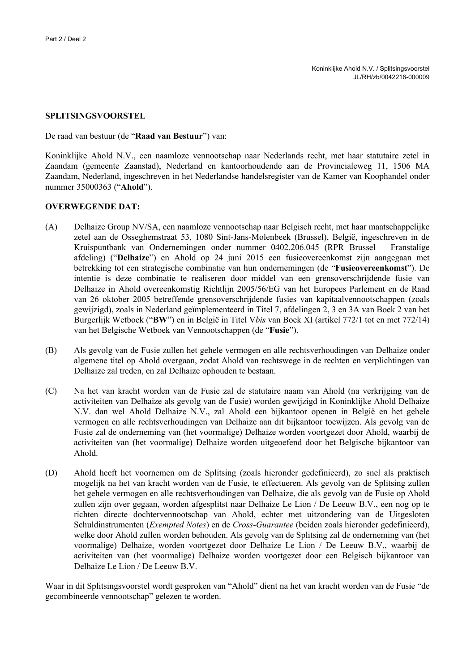#### **SPLITSINGSVOORSTEL**

De raad van bestuur (de "**Raad van Bestuur**") van:

Koninklijke Ahold N.V., een naamloze vennootschap naar Nederlands recht, met haar statutaire zetel in Zaandam (gemeente Zaanstad), Nederland en kantoorhoudende aan de Provincialeweg 11, 1506 MA Zaandam, Nederland, ingeschreven in het Nederlandse handelsregister van de Kamer van Koophandel onder nummer 35000363 ("**Ahold**").

### **OVERWEGENDE DAT:**

- (A) Delhaize Group NV/SA, een naamloze vennootschap naar Belgisch recht, met haar maatschappelijke zetel aan de Osseghemstraat 53, 1080 Sint-Jans-Molenbeek (Brussel), België, ingeschreven in de Kruispuntbank van Ondernemingen onder nummer 0402.206.045 (RPR Brussel – Franstalige afdeling) ("**Delhaize**") en Ahold op 24 juni 2015 een fusieovereenkomst zijn aangegaan met betrekking tot een strategische combinatie van hun ondernemingen (de "**Fusieovereenkomst**"). De intentie is deze combinatie te realiseren door middel van een grensoverschrijdende fusie van Delhaize in Ahold overeenkomstig Richtlijn 2005/56/EG van het Europees Parlement en de Raad van 26 oktober 2005 betreffende grensoverschrijdende fusies van kapitaalvennootschappen (zoals gewijzigd), zoals in Nederland geïmplementeerd in Titel 7, afdelingen 2, 3 en 3A van Boek 2 van het Burgerlijk Wetboek ("**BW**") en in België in Titel V*bis* van Boek XI (artikel 772/1 tot en met 772/14) van het Belgische Wetboek van Vennootschappen (de "**Fusie**").
- (B) Als gevolg van de Fusie zullen het gehele vermogen en alle rechtsverhoudingen van Delhaize onder algemene titel op Ahold overgaan, zodat Ahold van rechtswege in de rechten en verplichtingen van Delhaize zal treden, en zal Delhaize ophouden te bestaan.
- (C) Na het van kracht worden van de Fusie zal de statutaire naam van Ahold (na verkrijging van de activiteiten van Delhaize als gevolg van de Fusie) worden gewijzigd in Koninklijke Ahold Delhaize N.V. dan wel Ahold Delhaize N.V., zal Ahold een bijkantoor openen in België en het gehele vermogen en alle rechtsverhoudingen van Delhaize aan dit bijkantoor toewijzen. Als gevolg van de Fusie zal de onderneming van (het voormalige) Delhaize worden voortgezet door Ahold, waarbij de activiteiten van (het voormalige) Delhaize worden uitgeoefend door het Belgische bijkantoor van Ahold.
- (D) Ahold heeft het voornemen om de Splitsing (zoals hieronder gedefinieerd), zo snel als praktisch mogelijk na het van kracht worden van de Fusie, te effectueren. Als gevolg van de Splitsing zullen het gehele vermogen en alle rechtsverhoudingen van Delhaize, die als gevolg van de Fusie op Ahold zullen zijn over gegaan, worden afgesplitst naar Delhaize Le Lion / De Leeuw B.V., een nog op te richten directe dochtervennootschap van Ahold, echter met uitzondering van de Uitgesloten Schuldinstrumenten (*Exempted Notes*) en de *Cross-Guarantee* (beiden zoals hieronder gedefinieerd), welke door Ahold zullen worden behouden. Als gevolg van de Splitsing zal de onderneming van (het voormalige) Delhaize, worden voortgezet door Delhaize Le Lion / De Leeuw B.V., waarbij de activiteiten van (het voormalige) Delhaize worden voortgezet door een Belgisch bijkantoor van Delhaize Le Lion / De Leeuw B.V.

Waar in dit Splitsingsvoorstel wordt gesproken van "Ahold" dient na het van kracht worden van de Fusie "de gecombineerde vennootschap" gelezen te worden.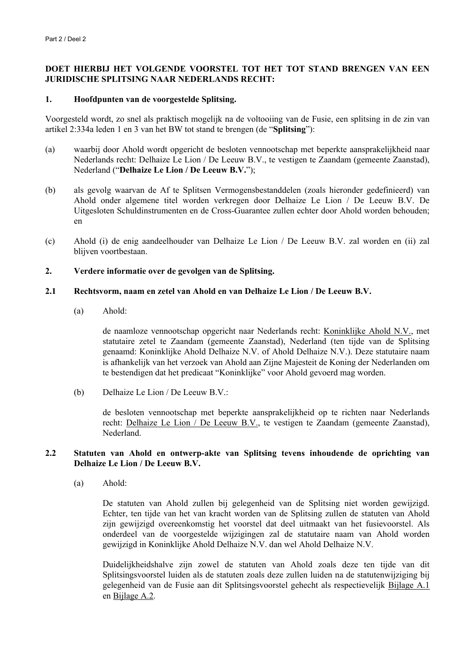# **DOET HIERBIJ HET VOLGENDE VOORSTEL TOT HET TOT STAND BRENGEN VAN EEN JURIDISCHE SPLITSING NAAR NEDERLANDS RECHT:**

#### **1. Hoofdpunten van de voorgestelde Splitsing.**

Voorgesteld wordt, zo snel als praktisch mogelijk na de voltooiing van de Fusie, een splitsing in de zin van artikel 2:334a leden 1 en 3 van het BW tot stand te brengen (de "**Splitsing**"):

- (a) waarbij door Ahold wordt opgericht de besloten vennootschap met beperkte aansprakelijkheid naar Nederlands recht: Delhaize Le Lion / De Leeuw B.V., te vestigen te Zaandam (gemeente Zaanstad), Nederland ("**Delhaize Le Lion / De Leeuw B.V.**");
- (b) als gevolg waarvan de Af te Splitsen Vermogensbestanddelen (zoals hieronder gedefinieerd) van Ahold onder algemene titel worden verkregen door Delhaize Le Lion / De Leeuw B.V. De Uitgesloten Schuldinstrumenten en de Cross-Guarantee zullen echter door Ahold worden behouden; en
- (c) Ahold (i) de enig aandeelhouder van Delhaize Le Lion / De Leeuw B.V. zal worden en (ii) zal blijven voortbestaan.

## **2. Verdere informatie over de gevolgen van de Splitsing.**

## **2.1 Rechtsvorm, naam en zetel van Ahold en van Delhaize Le Lion / De Leeuw B.V.**

(a) Ahold:

de naamloze vennootschap opgericht naar Nederlands recht: Koninklijke Ahold N.V., met statutaire zetel te Zaandam (gemeente Zaanstad), Nederland (ten tijde van de Splitsing genaamd: Koninklijke Ahold Delhaize N.V. of Ahold Delhaize N.V.). Deze statutaire naam is afhankelijk van het verzoek van Ahold aan Zijne Majesteit de Koning der Nederlanden om te bestendigen dat het predicaat "Koninklijke" voor Ahold gevoerd mag worden.

(b) Delhaize Le Lion / De Leeuw B.V.:

de besloten vennootschap met beperkte aansprakelijkheid op te richten naar Nederlands recht: Delhaize Le Lion / De Leeuw B.V., te vestigen te Zaandam (gemeente Zaanstad), Nederland.

### **2.2 Statuten van Ahold en ontwerp-akte van Splitsing tevens inhoudende de oprichting van Delhaize Le Lion / De Leeuw B.V.**

(a) Ahold:

De statuten van Ahold zullen bij gelegenheid van de Splitsing niet worden gewijzigd. Echter, ten tijde van het van kracht worden van de Splitsing zullen de statuten van Ahold zijn gewijzigd overeenkomstig het voorstel dat deel uitmaakt van het fusievoorstel. Als onderdeel van de voorgestelde wijzigingen zal de statutaire naam van Ahold worden gewijzigd in Koninklijke Ahold Delhaize N.V. dan wel Ahold Delhaize N.V.

Duidelijkheidshalve zijn zowel de statuten van Ahold zoals deze ten tijde van dit Splitsingsvoorstel luiden als de statuten zoals deze zullen luiden na de statutenwijziging bij gelegenheid van de Fusie aan dit Splitsingsvoorstel gehecht als respectievelijk Bijlage A.1 en Bijlage A.2.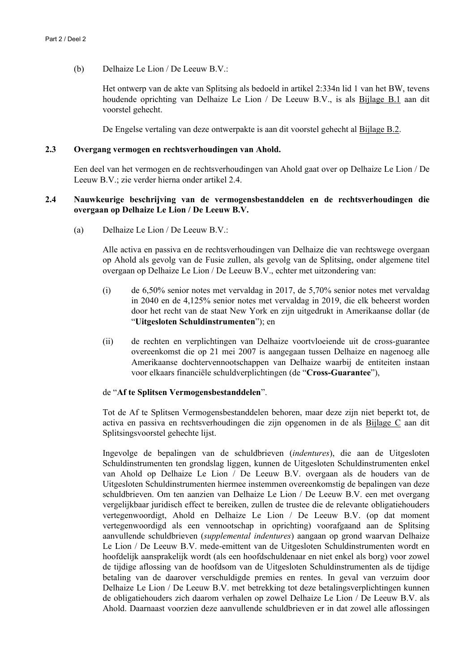(b) Delhaize Le Lion / De Leeuw B.V.:

Het ontwerp van de akte van Splitsing als bedoeld in artikel 2:334n lid 1 van het BW, tevens houdende oprichting van Delhaize Le Lion / De Leeuw B.V., is als Bijlage B.1 aan dit voorstel gehecht.

De Engelse vertaling van deze ontwerpakte is aan dit voorstel gehecht al Bijlage B.2.

#### **2.3 Overgang vermogen en rechtsverhoudingen van Ahold.**

Een deel van het vermogen en de rechtsverhoudingen van Ahold gaat over op Delhaize Le Lion / De Leeuw B.V.; zie verder hierna onder artikel 2.4.

## **2.4 Nauwkeurige beschrijving van de vermogensbestanddelen en de rechtsverhoudingen die overgaan op Delhaize Le Lion / De Leeuw B.V.**

(a) Delhaize Le Lion / De Leeuw B.V.:

Alle activa en passiva en de rechtsverhoudingen van Delhaize die van rechtswege overgaan op Ahold als gevolg van de Fusie zullen, als gevolg van de Splitsing, onder algemene titel overgaan op Delhaize Le Lion / De Leeuw B.V., echter met uitzondering van:

- (i) de 6,50% senior notes met vervaldag in 2017, de 5,70% senior notes met vervaldag in 2040 en de 4,125% senior notes met vervaldag in 2019, die elk beheerst worden door het recht van de staat New York en zijn uitgedrukt in Amerikaanse dollar (de "**Uitgesloten Schuldinstrumenten**"); en
- (ii) de rechten en verplichtingen van Delhaize voortvloeiende uit de cross-guarantee overeenkomst die op 21 mei 2007 is aangegaan tussen Delhaize en nagenoeg alle Amerikaanse dochtervennootschappen van Delhaize waarbij de entiteiten instaan voor elkaars financiële schuldverplichtingen (de "**Cross-Guarantee**"),

#### de "**Af te Splitsen Vermogensbestanddelen**".

Tot de Af te Splitsen Vermogensbestanddelen behoren, maar deze zijn niet beperkt tot, de activa en passiva en rechtsverhoudingen die zijn opgenomen in de als Bijlage C aan dit Splitsingsvoorstel gehechte lijst.

Ingevolge de bepalingen van de schuldbrieven (*indentures*), die aan de Uitgesloten Schuldinstrumenten ten grondslag liggen, kunnen de Uitgesloten Schuldinstrumenten enkel van Ahold op Delhaize Le Lion / De Leeuw B.V. overgaan als de houders van de Uitgesloten Schuldinstrumenten hiermee instemmen overeenkomstig de bepalingen van deze schuldbrieven. Om ten aanzien van Delhaize Le Lion / De Leeuw B.V. een met overgang vergelijkbaar juridisch effect te bereiken, zullen de trustee die de relevante obligatiehouders vertegenwoordigt, Ahold en Delhaize Le Lion / De Leeuw B.V. (op dat moment vertegenwoordigd als een vennootschap in oprichting) voorafgaand aan de Splitsing aanvullende schuldbrieven (*supplemental indentures*) aangaan op grond waarvan Delhaize Le Lion / De Leeuw B.V. mede-emittent van de Uitgesloten Schuldinstrumenten wordt en hoofdelijk aansprakelijk wordt (als een hoofdschuldenaar en niet enkel als borg) voor zowel de tijdige aflossing van de hoofdsom van de Uitgesloten Schuldinstrumenten als de tijdige betaling van de daarover verschuldigde premies en rentes. In geval van verzuim door Delhaize Le Lion / De Leeuw B.V. met betrekking tot deze betalingsverplichtingen kunnen de obligatiehouders zich daarom verhalen op zowel Delhaize Le Lion / De Leeuw B.V. als Ahold. Daarnaast voorzien deze aanvullende schuldbrieven er in dat zowel alle aflossingen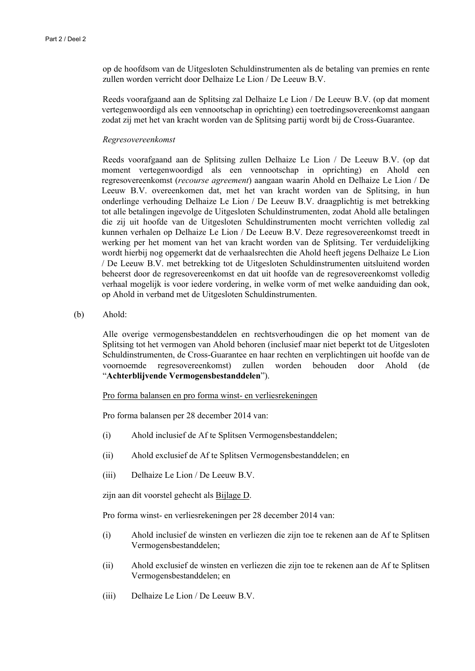op de hoofdsom van de Uitgesloten Schuldinstrumenten als de betaling van premies en rente zullen worden verricht door Delhaize Le Lion / De Leeuw B.V.

Reeds voorafgaand aan de Splitsing zal Delhaize Le Lion / De Leeuw B.V. (op dat moment vertegenwoordigd als een vennootschap in oprichting) een toetredingsovereenkomst aangaan zodat zij met het van kracht worden van de Splitsing partij wordt bij de Cross-Guarantee.

#### *Regresovereenkomst*

Reeds voorafgaand aan de Splitsing zullen Delhaize Le Lion / De Leeuw B.V. (op dat moment vertegenwoordigd als een vennootschap in oprichting) en Ahold een regresovereenkomst (*recourse agreement*) aangaan waarin Ahold en Delhaize Le Lion / De Leeuw B.V. overeenkomen dat, met het van kracht worden van de Splitsing, in hun onderlinge verhouding Delhaize Le Lion / De Leeuw B.V. draagplichtig is met betrekking tot alle betalingen ingevolge de Uitgesloten Schuldinstrumenten, zodat Ahold alle betalingen die zij uit hoofde van de Uitgesloten Schuldinstrumenten mocht verrichten volledig zal kunnen verhalen op Delhaize Le Lion / De Leeuw B.V. Deze regresovereenkomst treedt in werking per het moment van het van kracht worden van de Splitsing. Ter verduidelijking wordt hierbij nog opgemerkt dat de verhaalsrechten die Ahold heeft jegens Delhaize Le Lion / De Leeuw B.V. met betrekking tot de Uitgesloten Schuldinstrumenten uitsluitend worden beheerst door de regresovereenkomst en dat uit hoofde van de regresovereenkomst volledig verhaal mogelijk is voor iedere vordering, in welke vorm of met welke aanduiding dan ook, op Ahold in verband met de Uitgesloten Schuldinstrumenten.

(b) Ahold:

Alle overige vermogensbestanddelen en rechtsverhoudingen die op het moment van de Splitsing tot het vermogen van Ahold behoren (inclusief maar niet beperkt tot de Uitgesloten Schuldinstrumenten, de Cross-Guarantee en haar rechten en verplichtingen uit hoofde van de voornoemde regresovereenkomst) zullen worden behouden door Ahold (de "**Achterblijvende Vermogensbestanddelen**").

Pro forma balansen en pro forma winst- en verliesrekeningen

Pro forma balansen per 28 december 2014 van:

- (i) Ahold inclusief de Af te Splitsen Vermogensbestanddelen;
- (ii) Ahold exclusief de Af te Splitsen Vermogensbestanddelen; en
- (iii) Delhaize Le Lion / De Leeuw B.V.

zijn aan dit voorstel gehecht als Bijlage D.

Pro forma winst- en verliesrekeningen per 28 december 2014 van:

- (i) Ahold inclusief de winsten en verliezen die zijn toe te rekenen aan de Af te Splitsen Vermogensbestanddelen;
- (ii) Ahold exclusief de winsten en verliezen die zijn toe te rekenen aan de Af te Splitsen Vermogensbestanddelen; en
- (iii) Delhaize Le Lion / De Leeuw B.V.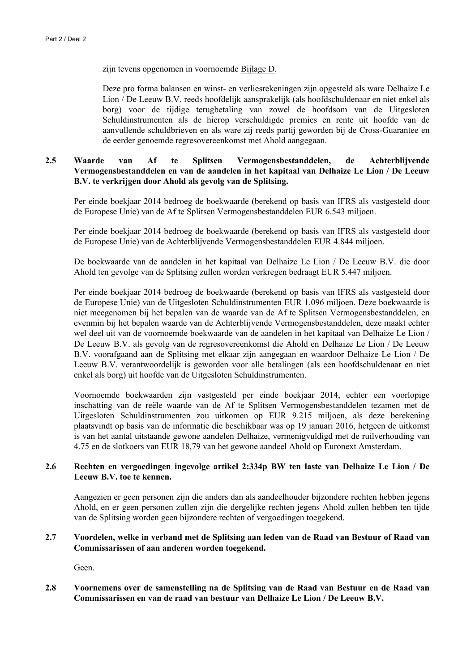zijn tevens opgenomen in voornoemde Bijlage D.

Deze pro forma balansen en winst- en verliesrekeningen zijn opgesteld als ware Delhaize Le Lion / De Leeuw B.V. reeds hoofdelijk aansprakelijk (als hoofdschuldenaar en niet enkel als borg) voor de tijdige terugbetaling van zowel de hoofdsom van de Uitgesloten Schuldinstrumenten als de hierop verschuldigde premies en rente uit hoofde van de aanvullende schuldbrieven en als ware zij reeds partij geworden bij de Cross-Guarantee en de eerder genoemde regresovereenkomst met Ahold aangegaan.

# **2.5 Waarde van Af te Splitsen Vermogensbestanddelen, de Achterblijvende Vermogensbestanddelen en van de aandelen in het kapitaal van Delhaize Le Lion / De Leeuw B.V. te verkrijgen door Ahold als gevolg van de Splitsing.**

Per einde boekjaar 2014 bedroeg de boekwaarde (berekend op basis van IFRS als vastgesteld door de Europese Unie) van de Af te Splitsen Vermogensbestanddelen EUR 6.543 miljoen.

Per einde boekjaar 2014 bedroeg de boekwaarde (berekend op basis van IFRS als vastgesteld door de Europese Unie) van de Achterblijvende Vermogensbestanddelen EUR 4.844 miljoen.

De boekwaarde van de aandelen in het kapitaal van Delhaize Le Lion / De Leeuw B.V. die door Ahold ten gevolge van de Splitsing zullen worden verkregen bedraagt EUR 5.447 miljoen.

Per einde boekjaar 2014 bedroeg de boekwaarde (berekend op basis van IFRS als vastgesteld door de Europese Unie) van de Uitgesloten Schuldinstrumenten EUR 1.096 miljoen. Deze boekwaarde is niet meegenomen bij het bepalen van de waarde van de Af te Splitsen Vermogensbestanddelen, en evenmin bij het bepalen waarde van de Achterblijvende Vermogensbestanddelen, deze maakt echter wel deel uit van de voornoemde boekwaarde van de aandelen in het kapitaal van Delhaize Le Lion / De Leeuw B.V. als gevolg van de regresovereenkomst die Ahold en Delhaize Le Lion / De Leeuw B.V. voorafgaand aan de Splitsing met elkaar zijn aangegaan en waardoor Delhaize Le Lion / De Leeuw B.V. verantwoordelijk is geworden voor alle betalingen (als een hoofdschuldenaar en niet enkel als borg) uit hoofde van de Uitgesloten Schuldinstrumenten.

Voornoemde boekwaarden zijn vastgesteld per einde boekjaar 2014, echter een voorlopige inschatting van de reële waarde van de Af te Splitsen Vermogensbestanddelen tezamen met de Uitgesloten Schuldinstrumenten zou uitkomen op EUR 9.215 miljoen, als deze berekening plaatsvindt op basis van de informatie die beschikbaar was op 19 januari 2016, hetgeen de uitkomst is van het aantal uitstaande gewone aandelen Delhaize, vermenigvuldigd met de ruilverhouding van 4.75 en de slotkoers van EUR 18,79 van het gewone aandeel Ahold op Euronext Amsterdam.

## **2.6 Rechten en vergoedingen ingevolge artikel 2:334p BW ten laste van Delhaize Le Lion / De Leeuw B.V. toe te kennen.**

Aangezien er geen personen zijn die anders dan als aandeelhouder bijzondere rechten hebben jegens Ahold, en er geen personen zullen zijn die dergelijke rechten jegens Ahold zullen hebben ten tijde van de Splitsing worden geen bijzondere rechten of vergoedingen toegekend.

# **2.7 Voordelen, welke in verband met de Splitsing aan leden van de Raad van Bestuur of Raad van Commissarissen of aan anderen worden toegekend.**

Geen.

**2.8 Voornemens over de samenstelling na de Splitsing van de Raad van Bestuur en de Raad van Commissarissen en van de raad van bestuur van Delhaize Le Lion / De Leeuw B.V.**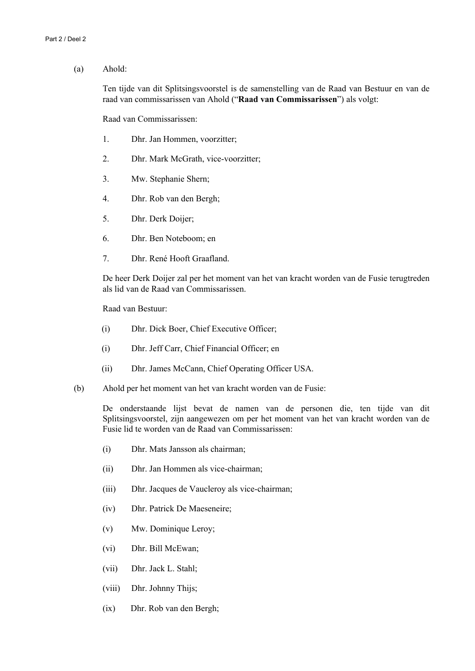(a) Ahold:

Ten tijde van dit Splitsingsvoorstel is de samenstelling van de Raad van Bestuur en van de raad van commissarissen van Ahold ("**Raad van Commissarissen**") als volgt:

Raad van Commissarissen:

- 1. Dhr. Jan Hommen, voorzitter;
- 2. Dhr. Mark McGrath, vice-voorzitter;
- 3. Mw. Stephanie Shern;
- 4. Dhr. Rob van den Bergh;
- 5. Dhr. Derk Doijer;
- 6. Dhr. Ben Noteboom; en
- 7. Dhr. René Hooft Graafland.

De heer Derk Doijer zal per het moment van het van kracht worden van de Fusie terugtreden als lid van de Raad van Commissarissen.

Raad van Bestuur:

- (i) Dhr. Dick Boer, Chief Executive Officer;
- (i) Dhr. Jeff Carr, Chief Financial Officer; en
- (ii) Dhr. James McCann, Chief Operating Officer USA.
- (b) Ahold per het moment van het van kracht worden van de Fusie:

De onderstaande lijst bevat de namen van de personen die, ten tijde van dit Splitsingsvoorstel, zijn aangewezen om per het moment van het van kracht worden van de Fusie lid te worden van de Raad van Commissarissen:

- (i) Dhr. Mats Jansson als chairman;
- (ii) Dhr. Jan Hommen als vice-chairman;
- (iii) Dhr. Jacques de Vaucleroy als vice-chairman;
- (iv) Dhr. Patrick De Maeseneire;
- (v) Mw. Dominique Leroy;
- (vi) Dhr. Bill McEwan;
- (vii) Dhr. Jack L. Stahl;
- (viii) Dhr. Johnny Thijs;
- (ix) Dhr. Rob van den Bergh;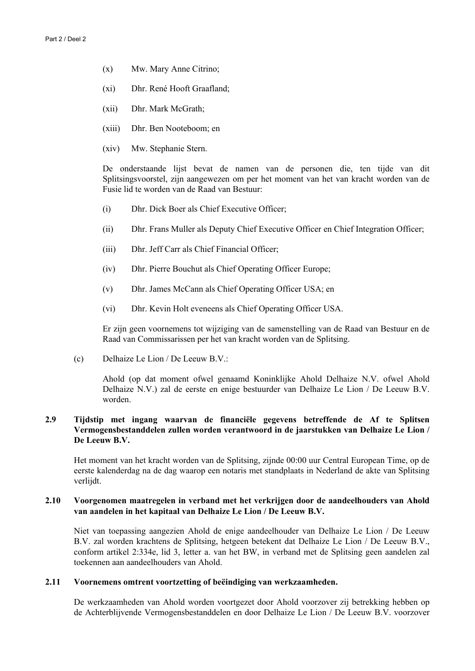- (x) Mw. Mary Anne Citrino;
- (xi) Dhr. René Hooft Graafland;
- (xii) Dhr. Mark McGrath;
- (xiii) Dhr. Ben Nooteboom; en
- (xiv) Mw. Stephanie Stern.

De onderstaande lijst bevat de namen van de personen die, ten tijde van dit Splitsingsvoorstel, zijn aangewezen om per het moment van het van kracht worden van de Fusie lid te worden van de Raad van Bestuur:

- (i) Dhr. Dick Boer als Chief Executive Officer;
- (ii) Dhr. Frans Muller als Deputy Chief Executive Officer en Chief Integration Officer;
- (iii) Dhr. Jeff Carr als Chief Financial Officer;
- (iv) Dhr. Pierre Bouchut als Chief Operating Officer Europe;
- (v) Dhr. James McCann als Chief Operating Officer USA; en
- (vi) Dhr. Kevin Holt eveneens als Chief Operating Officer USA.

Er zijn geen voornemens tot wijziging van de samenstelling van de Raad van Bestuur en de Raad van Commissarissen per het van kracht worden van de Splitsing.

(c) Delhaize Le Lion / De Leeuw B.V.:

Ahold (op dat moment ofwel genaamd Koninklijke Ahold Delhaize N.V. ofwel Ahold Delhaize N.V.) zal de eerste en enige bestuurder van Delhaize Le Lion / De Leeuw B.V. worden.

# **2.9 Tijdstip met ingang waarvan de financiële gegevens betreffende de Af te Splitsen Vermogensbestanddelen zullen worden verantwoord in de jaarstukken van Delhaize Le Lion / De Leeuw B.V.**

Het moment van het kracht worden van de Splitsing, zijnde 00:00 uur Central European Time, op de eerste kalenderdag na de dag waarop een notaris met standplaats in Nederland de akte van Splitsing verlijdt.

## **2.10 Voorgenomen maatregelen in verband met het verkrijgen door de aandeelhouders van Ahold van aandelen in het kapitaal van Delhaize Le Lion / De Leeuw B.V.**

Niet van toepassing aangezien Ahold de enige aandeelhouder van Delhaize Le Lion / De Leeuw B.V. zal worden krachtens de Splitsing, hetgeen betekent dat Delhaize Le Lion / De Leeuw B.V., conform artikel 2:334e, lid 3, letter a. van het BW, in verband met de Splitsing geen aandelen zal toekennen aan aandeelhouders van Ahold.

## **2.11 Voornemens omtrent voortzetting of beëindiging van werkzaamheden.**

De werkzaamheden van Ahold worden voortgezet door Ahold voorzover zij betrekking hebben op de Achterblijvende Vermogensbestanddelen en door Delhaize Le Lion / De Leeuw B.V. voorzover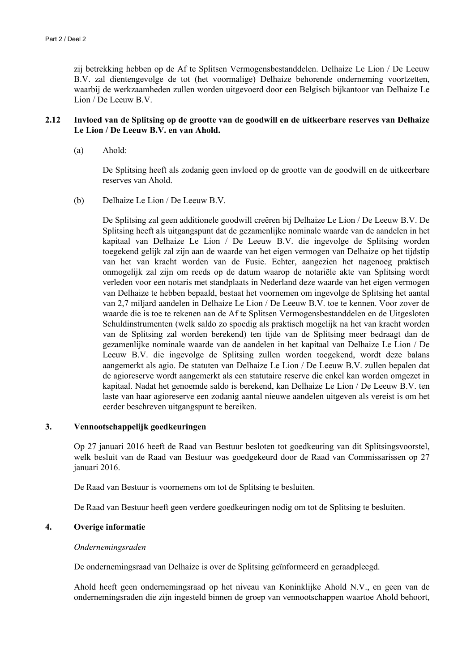zij betrekking hebben op de Af te Splitsen Vermogensbestanddelen. Delhaize Le Lion / De Leeuw B.V. zal dientengevolge de tot (het voormalige) Delhaize behorende onderneming voortzetten, waarbij de werkzaamheden zullen worden uitgevoerd door een Belgisch bijkantoor van Delhaize Le Lion / De Leeuw B.V.

# **2.12 Invloed van de Splitsing op de grootte van de goodwill en de uitkeerbare reserves van Delhaize Le Lion / De Leeuw B.V. en van Ahold.**

(a) Ahold:

De Splitsing heeft als zodanig geen invloed op de grootte van de goodwill en de uitkeerbare reserves van Ahold.

(b) Delhaize Le Lion / De Leeuw B.V.

De Splitsing zal geen additionele goodwill creëren bij Delhaize Le Lion / De Leeuw B.V. De Splitsing heeft als uitgangspunt dat de gezamenlijke nominale waarde van de aandelen in het kapitaal van Delhaize Le Lion / De Leeuw B.V. die ingevolge de Splitsing worden toegekend gelijk zal zijn aan de waarde van het eigen vermogen van Delhaize op het tijdstip van het van kracht worden van de Fusie. Echter, aangezien het nagenoeg praktisch onmogelijk zal zijn om reeds op de datum waarop de notariële akte van Splitsing wordt verleden voor een notaris met standplaats in Nederland deze waarde van het eigen vermogen van Delhaize te hebben bepaald, bestaat het voornemen om ingevolge de Splitsing het aantal van 2,7 miljard aandelen in Delhaize Le Lion / De Leeuw B.V. toe te kennen. Voor zover de waarde die is toe te rekenen aan de Af te Splitsen Vermogensbestanddelen en de Uitgesloten Schuldinstrumenten (welk saldo zo spoedig als praktisch mogelijk na het van kracht worden van de Splitsing zal worden berekend) ten tijde van de Splitsing meer bedraagt dan de gezamenlijke nominale waarde van de aandelen in het kapitaal van Delhaize Le Lion / De Leeuw B.V. die ingevolge de Splitsing zullen worden toegekend, wordt deze balans aangemerkt als agio. De statuten van Delhaize Le Lion / De Leeuw B.V. zullen bepalen dat de agioreserve wordt aangemerkt als een statutaire reserve die enkel kan worden omgezet in kapitaal. Nadat het genoemde saldo is berekend, kan Delhaize Le Lion / De Leeuw B.V. ten laste van haar agioreserve een zodanig aantal nieuwe aandelen uitgeven als vereist is om het eerder beschreven uitgangspunt te bereiken.

### **3. Vennootschappelijk goedkeuringen**

Op 27 januari 2016 heeft de Raad van Bestuur besloten tot goedkeuring van dit Splitsingsvoorstel, welk besluit van de Raad van Bestuur was goedgekeurd door de Raad van Commissarissen op 27 januari 2016.

De Raad van Bestuur is voornemens om tot de Splitsing te besluiten.

De Raad van Bestuur heeft geen verdere goedkeuringen nodig om tot de Splitsing te besluiten.

#### **4. Overige informatie**

#### *Ondernemingsraden*

De ondernemingsraad van Delhaize is over de Splitsing geïnformeerd en geraadpleegd.

Ahold heeft geen ondernemingsraad op het niveau van Koninklijke Ahold N.V., en geen van de ondernemingsraden die zijn ingesteld binnen de groep van vennootschappen waartoe Ahold behoort,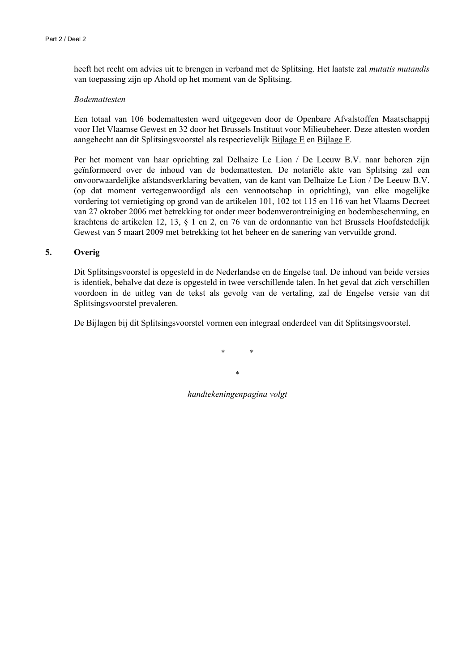heeft het recht om advies uit te brengen in verband met de Splitsing. Het laatste zal *mutatis mutandis* van toepassing zijn op Ahold op het moment van de Splitsing.

#### *Bodemattesten*

Een totaal van 106 bodemattesten werd uitgegeven door de Openbare Afvalstoffen Maatschappij voor Het Vlaamse Gewest en 32 door het Brussels Instituut voor Milieubeheer. Deze attesten worden aangehecht aan dit Splitsingsvoorstel als respectievelijk Bijlage E en Bijlage F.

Per het moment van haar oprichting zal Delhaize Le Lion / De Leeuw B.V. naar behoren zijn geïnformeerd over de inhoud van de bodemattesten. De notariële akte van Splitsing zal een onvoorwaardelijke afstandsverklaring bevatten, van de kant van Delhaize Le Lion / De Leeuw B.V. (op dat moment vertegenwoordigd als een vennootschap in oprichting), van elke mogelijke vordering tot vernietiging op grond van de artikelen 101, 102 tot 115 en 116 van het Vlaams Decreet van 27 oktober 2006 met betrekking tot onder meer bodemverontreiniging en bodembescherming, en krachtens de artikelen 12, 13, § 1 en 2, en 76 van de ordonnantie van het Brussels Hoofdstedelijk Gewest van 5 maart 2009 met betrekking tot het beheer en de sanering van vervuilde grond.

#### **5. Overig**

Dit Splitsingsvoorstel is opgesteld in de Nederlandse en de Engelse taal. De inhoud van beide versies is identiek, behalve dat deze is opgesteld in twee verschillende talen. In het geval dat zich verschillen voordoen in de uitleg van de tekst als gevolg van de vertaling, zal de Engelse versie van dit Splitsingsvoorstel prevaleren.

De Bijlagen bij dit Splitsingsvoorstel vormen een integraal onderdeel van dit Splitsingsvoorstel.

\* \* \*

*handtekeningenpagina volgt*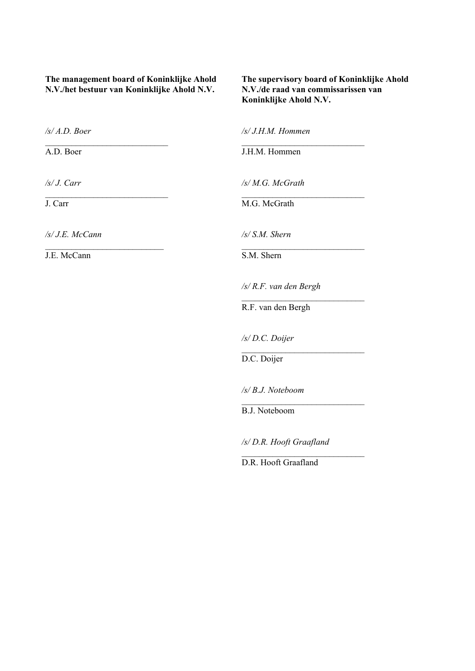**The management board of Koninklijke Ahold N.V./het bestuur van Koninklijke Ahold N.V.**

 $\mathcal{L}_\text{max}$ 

 $\mathcal{L}_\text{max}$  , where  $\mathcal{L}_\text{max}$  is the set of the set of the set of the set of the set of the set of the set of the set of the set of the set of the set of the set of the set of the set of the set of the set of the se

*\_\_\_\_\_\_\_\_\_\_\_\_\_\_\_\_\_\_\_\_\_\_\_\_\_\_\_*

**The supervisory board of Koninklijke Ahold N.V./de raad van commissarissen van Koninklijke Ahold N.V.**

*/s/ A.D. Boer* 

A.D. Boer

*/s/ J. Carr*

J. Carr

*/s/ J.E. McCann*

J.E. McCann

*/s/ J.H.M. Hommen* 

 $\mathcal{L}_\text{max}$ 

 $\frac{1}{2}$  ,  $\frac{1}{2}$  ,  $\frac{1}{2}$  ,  $\frac{1}{2}$  ,  $\frac{1}{2}$  ,  $\frac{1}{2}$  ,  $\frac{1}{2}$  ,  $\frac{1}{2}$  ,  $\frac{1}{2}$  ,  $\frac{1}{2}$  ,  $\frac{1}{2}$  ,  $\frac{1}{2}$  ,  $\frac{1}{2}$  ,  $\frac{1}{2}$  ,  $\frac{1}{2}$  ,  $\frac{1}{2}$  ,  $\frac{1}{2}$  ,  $\frac{1}{2}$  ,  $\frac{1$ 

 $\mathcal{L}_\text{max}$ 

J.H.M. Hommen

*/s/ M.G. McGrath*

M.G. McGrath

*/s/ S.M. Shern*

S.M. Shern

*/s/ R.F. van den Bergh*

R.F. van den Bergh

*/s/ D.C. Doijer*  $\frac{1}{2}$  ,  $\frac{1}{2}$  ,  $\frac{1}{2}$  ,  $\frac{1}{2}$  ,  $\frac{1}{2}$  ,  $\frac{1}{2}$  ,  $\frac{1}{2}$  ,  $\frac{1}{2}$  ,  $\frac{1}{2}$  ,  $\frac{1}{2}$  ,  $\frac{1}{2}$  ,  $\frac{1}{2}$  ,  $\frac{1}{2}$  ,  $\frac{1}{2}$  ,  $\frac{1}{2}$  ,  $\frac{1}{2}$  ,  $\frac{1}{2}$  ,  $\frac{1}{2}$  ,  $\frac{1$ 

D.C. Doijer

*/s/ B.J. Noteboom*

B.J. Noteboom

*/s/ D.R. Hooft Graafland*

 $\mathcal{L}_\text{max}$ 

 $\frac{1}{2}$  ,  $\frac{1}{2}$  ,  $\frac{1}{2}$  ,  $\frac{1}{2}$  ,  $\frac{1}{2}$  ,  $\frac{1}{2}$  ,  $\frac{1}{2}$  ,  $\frac{1}{2}$  ,  $\frac{1}{2}$  ,  $\frac{1}{2}$  ,  $\frac{1}{2}$  ,  $\frac{1}{2}$  ,  $\frac{1}{2}$  ,  $\frac{1}{2}$  ,  $\frac{1}{2}$  ,  $\frac{1}{2}$  ,  $\frac{1}{2}$  ,  $\frac{1}{2}$  ,  $\frac{1$ 

D.R. Hooft Graafland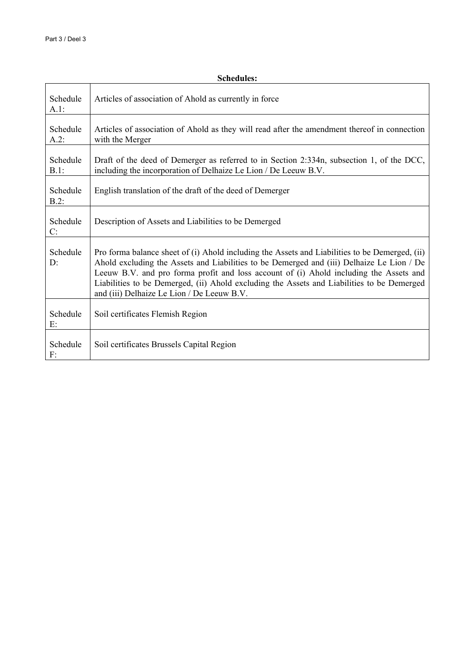| Schedules:          |                                                                                                                                                                                                                                                                                                                                                                                                                                   |  |
|---------------------|-----------------------------------------------------------------------------------------------------------------------------------------------------------------------------------------------------------------------------------------------------------------------------------------------------------------------------------------------------------------------------------------------------------------------------------|--|
| Schedule<br>$A.1$ : | Articles of association of Ahold as currently in force                                                                                                                                                                                                                                                                                                                                                                            |  |
| Schedule<br>$A.2$ : | Articles of association of Ahold as they will read after the amendment thereof in connection<br>with the Merger                                                                                                                                                                                                                                                                                                                   |  |
| Schedule<br>$B.1$ : | Draft of the deed of Demerger as referred to in Section 2:334n, subsection 1, of the DCC,<br>including the incorporation of Delhaize Le Lion / De Leeuw B.V.                                                                                                                                                                                                                                                                      |  |
| Schedule<br>$B.2$ : | English translation of the draft of the deed of Demerger                                                                                                                                                                                                                                                                                                                                                                          |  |
| Schedule<br>C:      | Description of Assets and Liabilities to be Demerged                                                                                                                                                                                                                                                                                                                                                                              |  |
| Schedule<br>D:      | Pro forma balance sheet of (i) Ahold including the Assets and Liabilities to be Demerged, (ii)<br>Ahold excluding the Assets and Liabilities to be Demerged and (iii) Delhaize Le Lion / De<br>Leeuw B.V. and pro forma profit and loss account of (i) Ahold including the Assets and<br>Liabilities to be Demerged, (ii) Ahold excluding the Assets and Liabilities to be Demerged<br>and (iii) Delhaize Le Lion / De Leeuw B.V. |  |
| Schedule<br>Е:      | Soil certificates Flemish Region                                                                                                                                                                                                                                                                                                                                                                                                  |  |
| Schedule<br>F:      | Soil certificates Brussels Capital Region                                                                                                                                                                                                                                                                                                                                                                                         |  |

# **Schedules:**